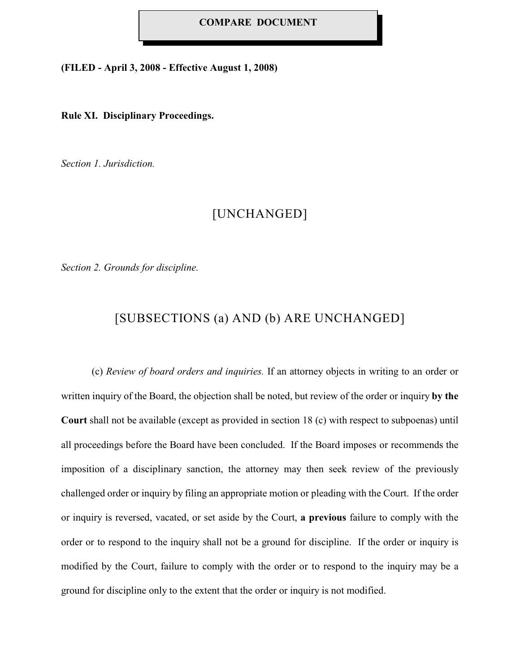### **COMPARE DOCUMENT**

**(FILED - April 3, 2008 - Effective August 1, 2008)**

### **Rule XI. Disciplinary Proceedings.**

*Section 1. Jurisdiction.*

## [UNCHANGED]

*Section 2. Grounds for discipline.*

# [SUBSECTIONS (a) AND (b) ARE UNCHANGED]

(c) *Review of board orders and inquiries.* If an attorney objects in writing to an order or written inquiry of the Board, the objection shall be noted, but review of the order or inquiry **by the Court** shall not be available (except as provided in section 18 (c) with respect to subpoenas) until all proceedings before the Board have been concluded. If the Board imposes or recommends the imposition of a disciplinary sanction, the attorney may then seek review of the previously challenged order or inquiry by filing an appropriate motion or pleading with the Court. If the order or inquiry is reversed, vacated, or set aside by the Court, **a previous** failure to comply with the order or to respond to the inquiry shall not be a ground for discipline. If the order or inquiry is modified by the Court, failure to comply with the order or to respond to the inquiry may be a ground for discipline only to the extent that the order or inquiry is not modified.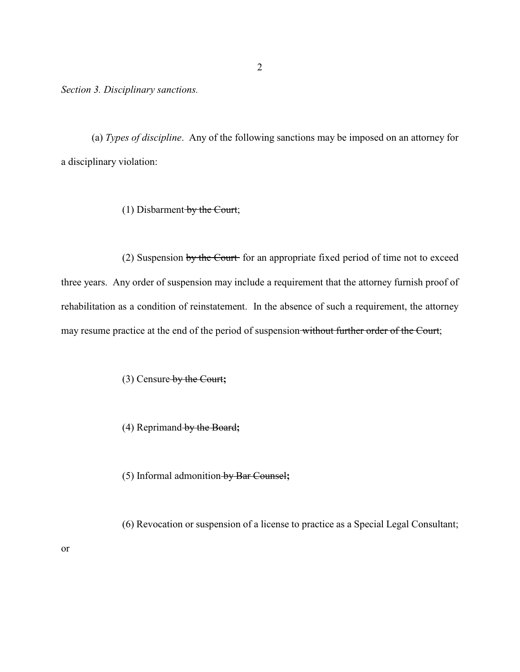*Section 3. Disciplinary sanctions.*

(a) *Types of discipline*. Any of the following sanctions may be imposed on an attorney for a disciplinary violation:

(1) Disbarment by the Court;

(2) Suspension by the Court for an appropriate fixed period of time not to exceed three years. Any order of suspension may include a requirement that the attorney furnish proof of rehabilitation as a condition of reinstatement. In the absence of such a requirement, the attorney may resume practice at the end of the period of suspension without further order of the Court;

(3) Censure by the Court**;**

(4) Reprimand by the Board**;** 

or

(5) Informal admonition by Bar Counsel**;** 

(6) Revocation or suspension of a license to practice as a Special Legal Consultant;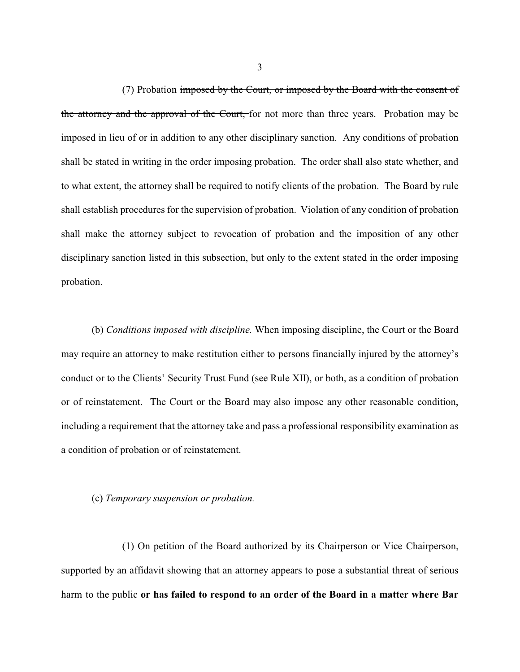(7) Probation imposed by the Court, or imposed by the Board with the consent of the attorney and the approval of the Court, for not more than three years. Probation may be imposed in lieu of or in addition to any other disciplinary sanction. Any conditions of probation shall be stated in writing in the order imposing probation. The order shall also state whether, and to what extent, the attorney shall be required to notify clients of the probation. The Board by rule shall establish procedures for the supervision of probation. Violation of any condition of probation shall make the attorney subject to revocation of probation and the imposition of any other disciplinary sanction listed in this subsection, but only to the extent stated in the order imposing probation.

(b) *Conditions imposed with discipline.* When imposing discipline, the Court or the Board may require an attorney to make restitution either to persons financially injured by the attorney's conduct or to the Clients' Security Trust Fund (see Rule XII), or both, as a condition of probation or of reinstatement. The Court or the Board may also impose any other reasonable condition, including a requirement that the attorney take and pass a professional responsibility examination as a condition of probation or of reinstatement.

### (c) *Temporary suspension or probation.*

(1) On petition of the Board authorized by its Chairperson or Vice Chairperson, supported by an affidavit showing that an attorney appears to pose a substantial threat of serious harm to the public **or has failed to respond to an order of the Board in a matter where Bar**

3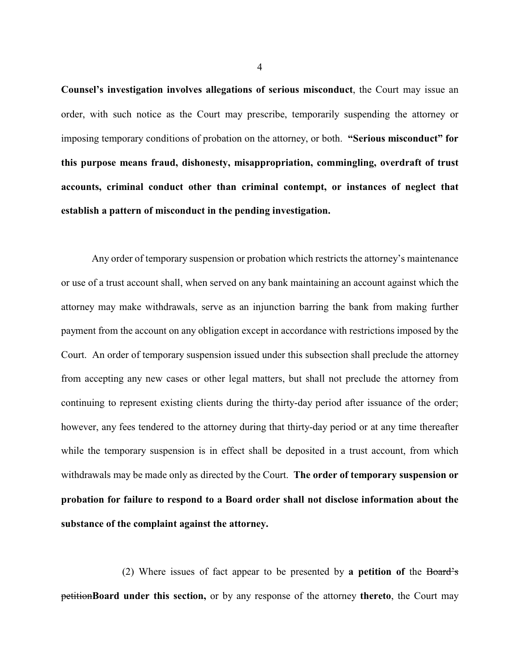**Counsel's investigation involves allegations of serious misconduct**, the Court may issue an order, with such notice as the Court may prescribe, temporarily suspending the attorney or imposing temporary conditions of probation on the attorney, or both. **"Serious misconduct" for this purpose means fraud, dishonesty, misappropriation, commingling, overdraft of trust accounts, criminal conduct other than criminal contempt, or instances of neglect that establish a pattern of misconduct in the pending investigation.**

Any order of temporary suspension or probation which restricts the attorney's maintenance or use of a trust account shall, when served on any bank maintaining an account against which the attorney may make withdrawals, serve as an injunction barring the bank from making further payment from the account on any obligation except in accordance with restrictions imposed by the Court. An order of temporary suspension issued under this subsection shall preclude the attorney from accepting any new cases or other legal matters, but shall not preclude the attorney from continuing to represent existing clients during the thirty-day period after issuance of the order; however, any fees tendered to the attorney during that thirty-day period or at any time thereafter while the temporary suspension is in effect shall be deposited in a trust account, from which withdrawals may be made only as directed by the Court. **The order of temporary suspension or probation for failure to respond to a Board order shall not disclose information about the substance of the complaint against the attorney.** 

(2) Where issues of fact appear to be presented by **a petition of** the Board's petition**Board under this section,** or by any response of the attorney **thereto**, the Court may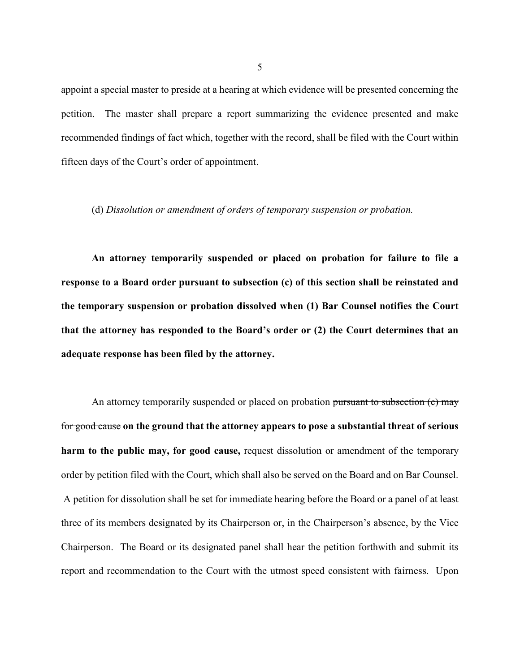appoint a special master to preside at a hearing at which evidence will be presented concerning the petition. The master shall prepare a report summarizing the evidence presented and make recommended findings of fact which, together with the record, shall be filed with the Court within fifteen days of the Court's order of appointment.

### (d) *Dissolution or amendment of orders of temporary suspension or probation.*

**An attorney temporarily suspended or placed on probation for failure to file a response to a Board order pursuant to subsection (c) of this section shall be reinstated and the temporary suspension or probation dissolved when (1) Bar Counsel notifies the Court that the attorney has responded to the Board's order or (2) the Court determines that an adequate response has been filed by the attorney.**

An attorney temporarily suspended or placed on probation pursuant to subsection (c) may for good cause **on the ground that the attorney appears to pose a substantial threat of serious harm to the public may, for good cause,** request dissolution or amendment of the temporary order by petition filed with the Court, which shall also be served on the Board and on Bar Counsel. A petition for dissolution shall be set for immediate hearing before the Board or a panel of at least three of its members designated by its Chairperson or, in the Chairperson's absence, by the Vice Chairperson. The Board or its designated panel shall hear the petition forthwith and submit its report and recommendation to the Court with the utmost speed consistent with fairness. Upon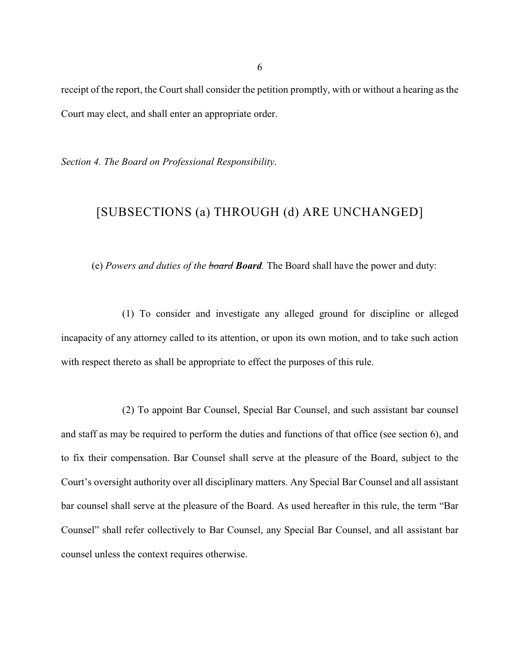receipt of the report, the Court shall consider the petition promptly, with or without a hearing as the Court may elect, and shall enter an appropriate order.

*Section 4. The Board on Professional Responsibility*.

# [SUBSECTIONS (a) THROUGH (d) ARE UNCHANGED]

(e) *Powers and duties of the board Board.* The Board shall have the power and duty:

(1) To consider and investigate any alleged ground for discipline or alleged incapacity of any attorney called to its attention, or upon its own motion, and to take such action with respect thereto as shall be appropriate to effect the purposes of this rule.

(2) To appoint Bar Counsel, Special Bar Counsel, and such assistant bar counsel and staff as may be required to perform the duties and functions of that office (see section 6), and to fix their compensation. Bar Counsel shall serve at the pleasure of the Board, subject to the Court's oversight authority over all disciplinary matters. Any Special Bar Counsel and all assistant bar counsel shall serve at the pleasure of the Board. As used hereafter in this rule, the term "Bar Counsel" shall refer collectively to Bar Counsel, any Special Bar Counsel, and all assistant bar counsel unless the context requires otherwise.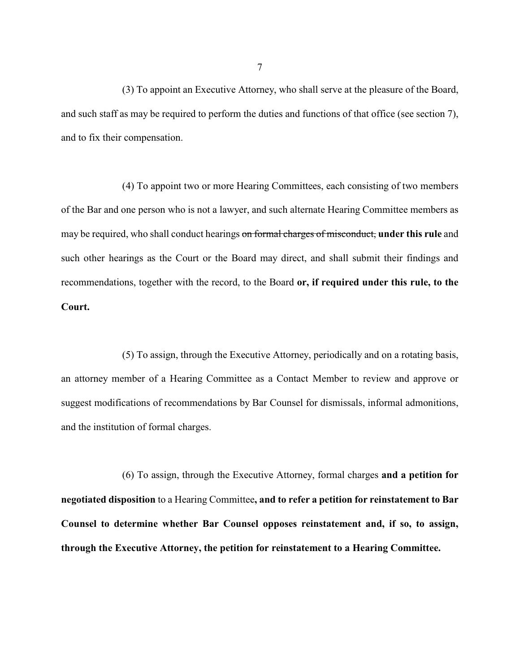(3) To appoint an Executive Attorney, who shall serve at the pleasure of the Board, and such staff as may be required to perform the duties and functions of that office (see section 7), and to fix their compensation.

(4) To appoint two or more Hearing Committees, each consisting of two members of the Bar and one person who is not a lawyer, and such alternate Hearing Committee members as may be required, who shall conduct hearings on formal charges of misconduct, **under this rule** and such other hearings as the Court or the Board may direct, and shall submit their findings and recommendations, together with the record, to the Board **or, if required under this rule, to the Court.**

(5) To assign, through the Executive Attorney, periodically and on a rotating basis, an attorney member of a Hearing Committee as a Contact Member to review and approve or suggest modifications of recommendations by Bar Counsel for dismissals, informal admonitions, and the institution of formal charges.

(6) To assign, through the Executive Attorney, formal charges **and a petition for negotiated disposition** to a Hearing Committee**, and to refer a petition for reinstatement to Bar Counsel to determine whether Bar Counsel opposes reinstatement and, if so, to assign, through the Executive Attorney, the petition for reinstatement to a Hearing Committee.**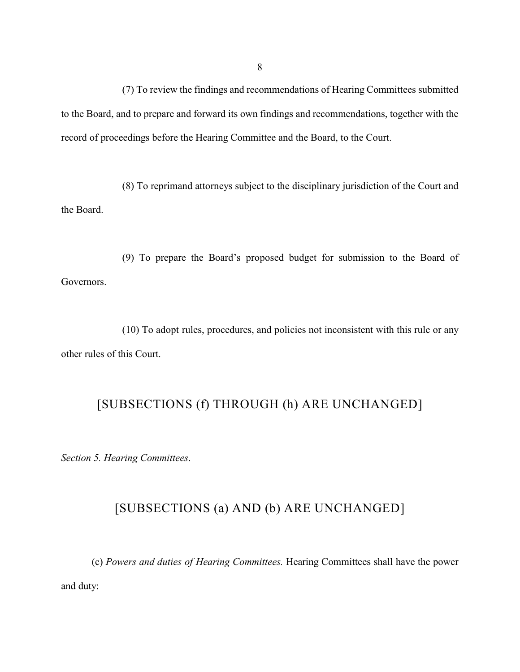(7) To review the findings and recommendations of Hearing Committees submitted to the Board, and to prepare and forward its own findings and recommendations, together with the record of proceedings before the Hearing Committee and the Board, to the Court.

(8) To reprimand attorneys subject to the disciplinary jurisdiction of the Court and the Board.

(9) To prepare the Board's proposed budget for submission to the Board of Governors.

(10) To adopt rules, procedures, and policies not inconsistent with this rule or any other rules of this Court.

# [SUBSECTIONS (f) THROUGH (h) ARE UNCHANGED]

*Section 5. Hearing Committees*.

# [SUBSECTIONS (a) AND (b) ARE UNCHANGED]

(c) *Powers and duties of Hearing Committees.* Hearing Committees shall have the power and duty: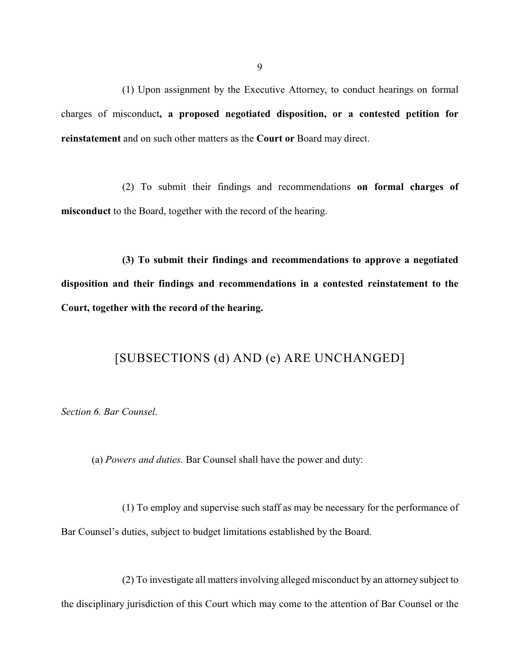(1) Upon assignment by the Executive Attorney, to conduct hearings on formal charges of misconduct**, a proposed negotiated disposition, or a contested petition for reinstatement** and on such other matters as the **Court or** Board may direct.

(2) To submit their findings and recommendations **on formal charges of misconduct** to the Board, together with the record of the hearing.

**(3) To submit their findings and recommendations to approve a negotiated disposition and their findings and recommendations in a contested reinstatement to the Court, together with the record of the hearing.**

### [SUBSECTIONS (d) AND (e) ARE UNCHANGED]

*Section 6. Bar Counsel*.

(a) *Powers and duties.* Bar Counsel shall have the power and duty:

(1) To employ and supervise such staff as may be necessary for the performance of Bar Counsel's duties, subject to budget limitations established by the Board.

(2) To investigate all matters involving alleged misconduct by an attorney subject to the disciplinary jurisdiction of this Court which may come to the attention of Bar Counsel or the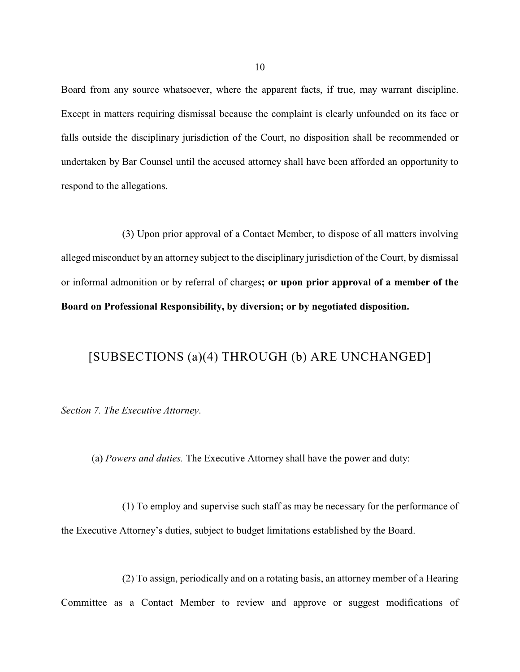Board from any source whatsoever, where the apparent facts, if true, may warrant discipline. Except in matters requiring dismissal because the complaint is clearly unfounded on its face or falls outside the disciplinary jurisdiction of the Court, no disposition shall be recommended or undertaken by Bar Counsel until the accused attorney shall have been afforded an opportunity to respond to the allegations.

(3) Upon prior approval of a Contact Member, to dispose of all matters involving alleged misconduct by an attorney subject to the disciplinary jurisdiction of the Court, by dismissal or informal admonition or by referral of charges**; or upon prior approval of a member of the Board on Professional Responsibility, by diversion; or by negotiated disposition.**

# [SUBSECTIONS (a)(4) THROUGH (b) ARE UNCHANGED]

*Section 7. The Executive Attorney*.

(a) *Powers and duties.* The Executive Attorney shall have the power and duty:

(1) To employ and supervise such staff as may be necessary for the performance of the Executive Attorney's duties, subject to budget limitations established by the Board.

(2) To assign, periodically and on a rotating basis, an attorney member of a Hearing Committee as a Contact Member to review and approve or suggest modifications of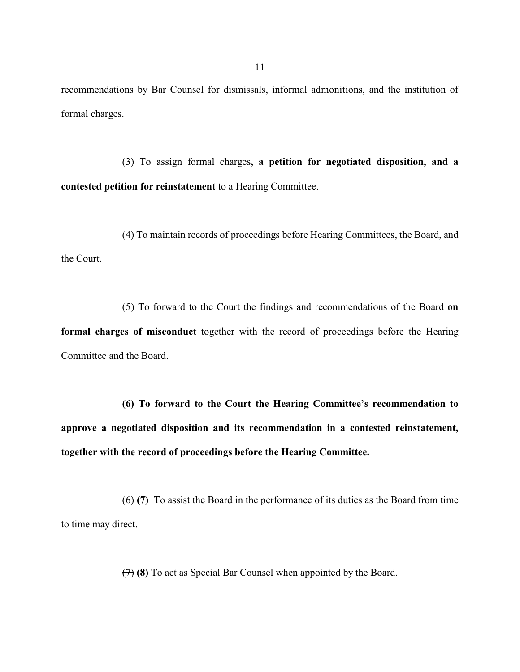recommendations by Bar Counsel for dismissals, informal admonitions, and the institution of formal charges.

(3) To assign formal charges**, a petition for negotiated disposition, and a contested petition for reinstatement** to a Hearing Committee.

(4) To maintain records of proceedings before Hearing Committees, the Board, and the Court.

(5) To forward to the Court the findings and recommendations of the Board **on formal charges of misconduct** together with the record of proceedings before the Hearing Committee and the Board.

**(6) To forward to the Court the Hearing Committee's recommendation to approve a negotiated disposition and its recommendation in a contested reinstatement, together with the record of proceedings before the Hearing Committee.**

(6) **(7)** To assist the Board in the performance of its duties as the Board from time to time may direct.

(7) **(8)** To act as Special Bar Counsel when appointed by the Board.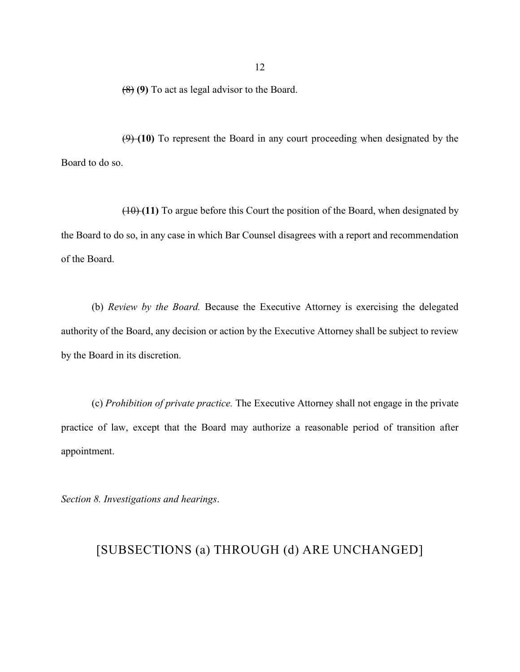(8) **(9)** To act as legal advisor to the Board.

(9) **(10)** To represent the Board in any court proceeding when designated by the Board to do so.

(10) **(11)** To argue before this Court the position of the Board, when designated by the Board to do so, in any case in which Bar Counsel disagrees with a report and recommendation of the Board.

(b) *Review by the Board.* Because the Executive Attorney is exercising the delegated authority of the Board, any decision or action by the Executive Attorney shall be subject to review by the Board in its discretion.

(c) *Prohibition of private practice.* The Executive Attorney shall not engage in the private practice of law, except that the Board may authorize a reasonable period of transition after appointment.

*Section 8. Investigations and hearings*.

## [SUBSECTIONS (a) THROUGH (d) ARE UNCHANGED]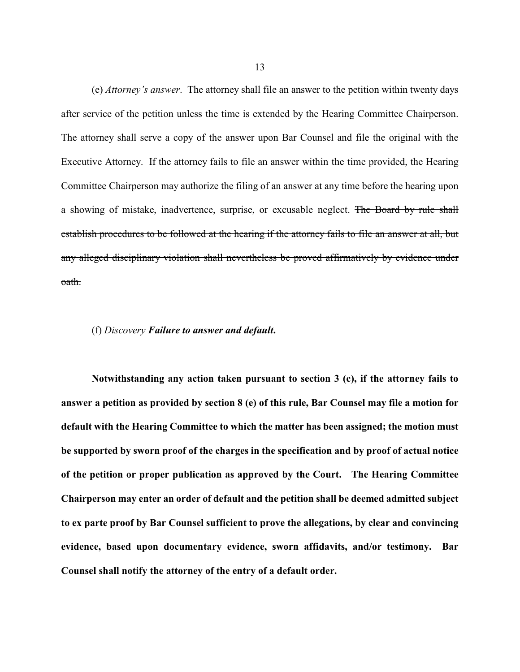(e) *Attorney's answer*. The attorney shall file an answer to the petition within twenty days after service of the petition unless the time is extended by the Hearing Committee Chairperson. The attorney shall serve a copy of the answer upon Bar Counsel and file the original with the Executive Attorney. If the attorney fails to file an answer within the time provided, the Hearing Committee Chairperson may authorize the filing of an answer at any time before the hearing upon a showing of mistake, inadvertence, surprise, or excusable neglect. The Board by rule shall establish procedures to be followed at the hearing if the attorney fails to file an answer at all, but any alleged disciplinary violation shall nevertheless be proved affirmatively by evidence under oath.

### (f) *Discovery Failure to answer and default***.**

**Notwithstanding any action taken pursuant to section 3 (c), if the attorney fails to answer a petition as provided by section 8 (e) of this rule, Bar Counsel may file a motion for default with the Hearing Committee to which the matter has been assigned; the motion must be supported by sworn proof of the charges in the specification and by proof of actual notice of the petition or proper publication as approved by the Court. The Hearing Committee Chairperson may enter an order of default and the petition shall be deemed admitted subject to ex parte proof by Bar Counsel sufficient to prove the allegations, by clear and convincing evidence, based upon documentary evidence, sworn affidavits, and/or testimony. Bar Counsel shall notify the attorney of the entry of a default order.**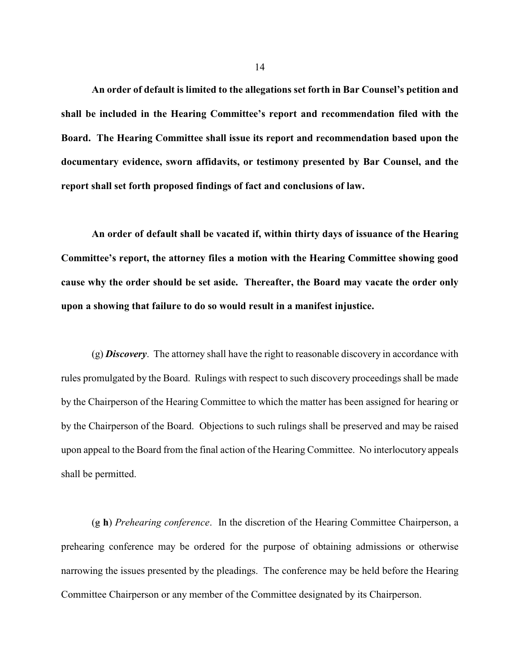**An order of default is limited to the allegations set forth in Bar Counsel's petition and shall be included in the Hearing Committee's report and recommendation filed with the Board. The Hearing Committee shall issue its report and recommendation based upon the documentary evidence, sworn affidavits, or testimony presented by Bar Counsel, and the report shall set forth proposed findings of fact and conclusions of law.**

**An order of default shall be vacated if, within thirty days of issuance of the Hearing Committee's report, the attorney files a motion with the Hearing Committee showing good cause why the order should be set aside. Thereafter, the Board may vacate the order only upon a showing that failure to do so would result in a manifest injustice.**

(g) *Discovery*. The attorney shall have the right to reasonable discovery in accordance with rules promulgated by the Board. Rulings with respect to such discovery proceedings shall be made by the Chairperson of the Hearing Committee to which the matter has been assigned for hearing or by the Chairperson of the Board. Objections to such rulings shall be preserved and may be raised upon appeal to the Board from the final action of the Hearing Committee. No interlocutory appeals shall be permitted.

(g **h**) *Prehearing conference*. In the discretion of the Hearing Committee Chairperson, a prehearing conference may be ordered for the purpose of obtaining admissions or otherwise narrowing the issues presented by the pleadings. The conference may be held before the Hearing Committee Chairperson or any member of the Committee designated by its Chairperson.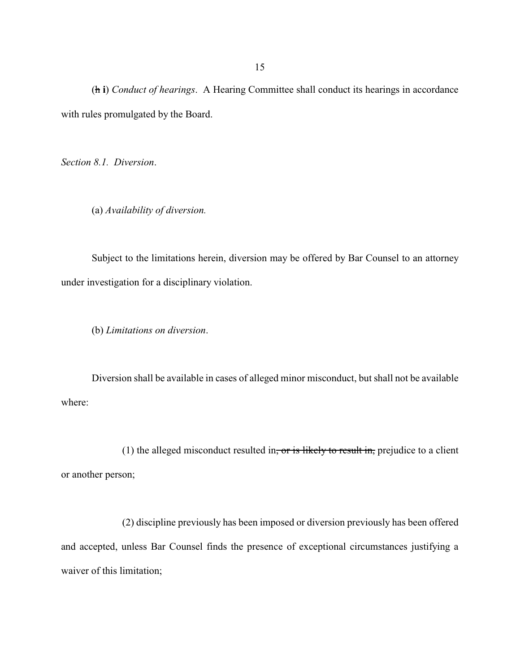(h **i**) *Conduct of hearings*. A Hearing Committee shall conduct its hearings in accordance with rules promulgated by the Board.

*Section 8.1. Diversion*.

(a) *Availability of diversion.*

Subject to the limitations herein, diversion may be offered by Bar Counsel to an attorney under investigation for a disciplinary violation.

(b) *Limitations on diversion*.

Diversion shall be available in cases of alleged minor misconduct, but shall not be available where:

(1) the alleged misconduct resulted in, or is likely to result in, prejudice to a client or another person;

(2) discipline previously has been imposed or diversion previously has been offered and accepted, unless Bar Counsel finds the presence of exceptional circumstances justifying a waiver of this limitation;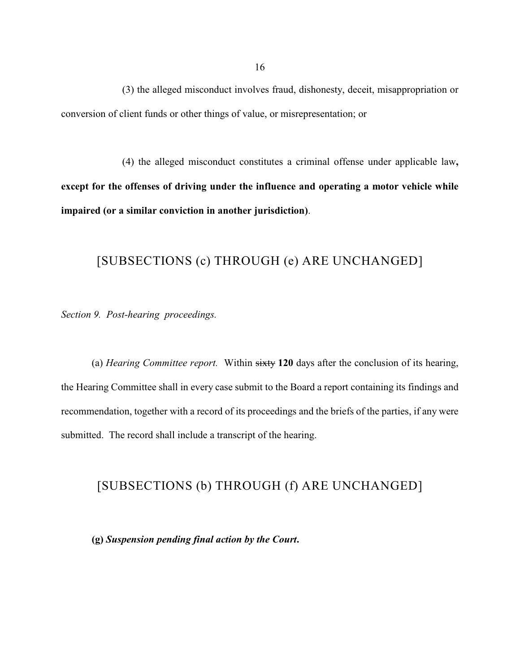(3) the alleged misconduct involves fraud, dishonesty, deceit, misappropriation or conversion of client funds or other things of value, or misrepresentation; or

(4) the alleged misconduct constitutes a criminal offense under applicable law**, except for the offenses of driving under the influence and operating a motor vehicle while impaired (or a similar conviction in another jurisdiction)**.

### [SUBSECTIONS (c) THROUGH (e) ARE UNCHANGED]

*Section 9. Post-hearing proceedings.*

(a) *Hearing Committee report.* Within sixty **120** days after the conclusion of its hearing, the Hearing Committee shall in every case submit to the Board a report containing its findings and recommendation, together with a record of its proceedings and the briefs of the parties, if any were submitted. The record shall include a transcript of the hearing.

### [SUBSECTIONS (b) THROUGH (f) ARE UNCHANGED]

**(g)** *Suspension pending final action by the Court***.**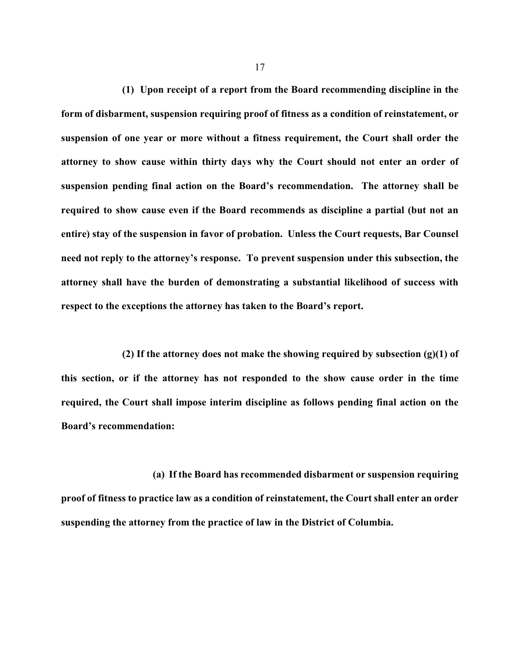**(1) Upon receipt of a report from the Board recommending discipline in the form of disbarment, suspension requiring proof of fitness as a condition of reinstatement, or suspension of one year or more without a fitness requirement, the Court shall order the attorney to show cause within thirty days why the Court should not enter an order of suspension pending final action on the Board's recommendation. The attorney shall be required to show cause even if the Board recommends as discipline a partial (but not an entire) stay of the suspension in favor of probation. Unless the Court requests, Bar Counsel need not reply to the attorney's response. To prevent suspension under this subsection, the attorney shall have the burden of demonstrating a substantial likelihood of success with respect to the exceptions the attorney has taken to the Board's report.** 

**(2) If the attorney does not make the showing required by subsection (g)(1) of this section, or if the attorney has not responded to the show cause order in the time required, the Court shall impose interim discipline as follows pending final action on the Board's recommendation:**

**(a) If the Board has recommended disbarment or suspension requiring proof of fitness to practice law as a condition of reinstatement, the Court shall enter an order suspending the attorney from the practice of law in the District of Columbia.**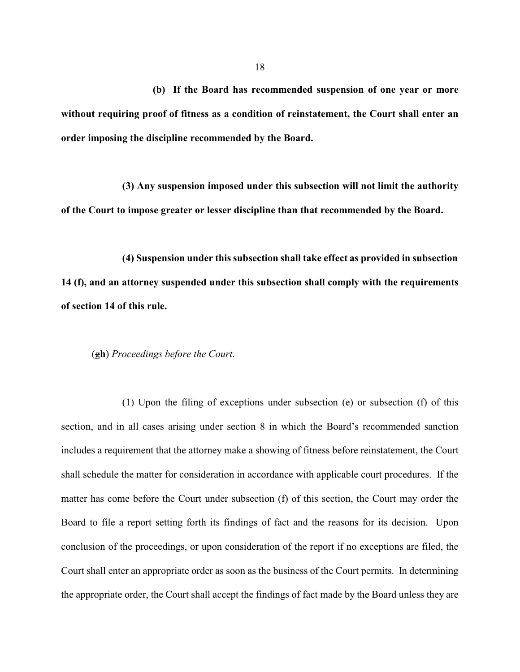**(b) If the Board has recommended suspension of one year or more without requiring proof of fitness as a condition of reinstatement, the Court shall enter an order imposing the discipline recommended by the Board.** 

**(3) Any suspension imposed under this subsection will not limit the authority of the Court to impose greater or lesser discipline than that recommended by the Board.**

**(4) Suspension under this subsection shall take effect as provided in subsection 14 (f), and an attorney suspended under this subsection shall comply with the requirements of section 14 of this rule.**

(g**h**) *Proceedings before the Court.*

(1) Upon the filing of exceptions under subsection (e) or subsection (f) of this section, and in all cases arising under section 8 in which the Board's recommended sanction includes a requirement that the attorney make a showing of fitness before reinstatement, the Court shall schedule the matter for consideration in accordance with applicable court procedures. If the matter has come before the Court under subsection (f) of this section, the Court may order the Board to file a report setting forth its findings of fact and the reasons for its decision. Upon conclusion of the proceedings, or upon consideration of the report if no exceptions are filed, the Court shall enter an appropriate order as soon as the business of the Court permits. In determining the appropriate order, the Court shall accept the findings of fact made by the Board unless they are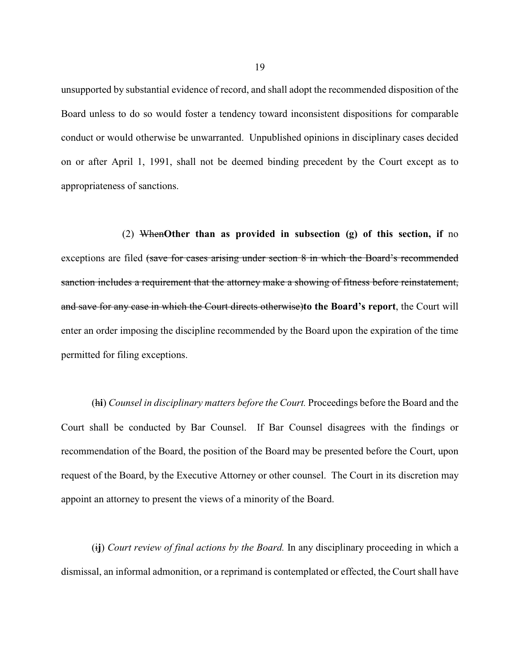unsupported by substantial evidence of record, and shall adopt the recommended disposition of the Board unless to do so would foster a tendency toward inconsistent dispositions for comparable conduct or would otherwise be unwarranted. Unpublished opinions in disciplinary cases decided on or after April 1, 1991, shall not be deemed binding precedent by the Court except as to appropriateness of sanctions.

(2) When**Other than as provided in subsection (g) of this section, if** no exceptions are filed (save for cases arising under section 8 in which the Board's recommended sanction includes a requirement that the attorney make a showing of fitness before reinstatement, and save for any case in which the Court directs otherwise)**to the Board's report**, the Court will enter an order imposing the discipline recommended by the Board upon the expiration of the time permitted for filing exceptions.

(h**i**) *Counsel in disciplinary matters before the Court.* Proceedings before the Board and the Court shall be conducted by Bar Counsel. If Bar Counsel disagrees with the findings or recommendation of the Board, the position of the Board may be presented before the Court, upon request of the Board, by the Executive Attorney or other counsel. The Court in its discretion may appoint an attorney to present the views of a minority of the Board.

(i**j**) *Court review of final actions by the Board.* In any disciplinary proceeding in which a dismissal, an informal admonition, or a reprimand is contemplated or effected, the Court shall have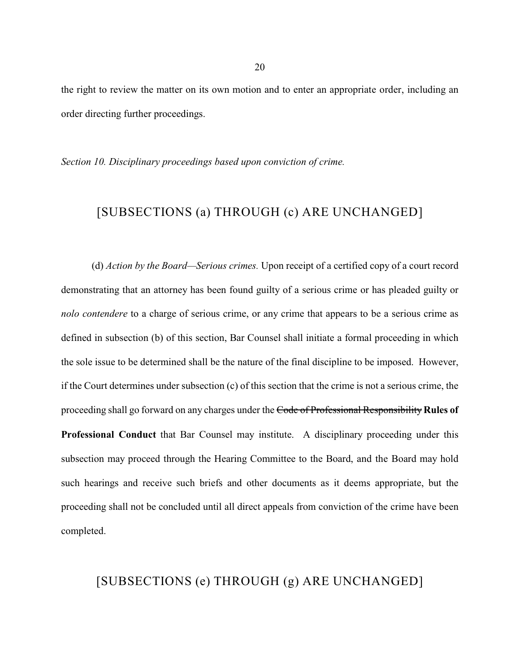the right to review the matter on its own motion and to enter an appropriate order, including an order directing further proceedings.

*Section 10. Disciplinary proceedings based upon conviction of crime.*

# [SUBSECTIONS (a) THROUGH (c) ARE UNCHANGED]

(d) *Action by the Board—Serious crimes.* Upon receipt of a certified copy of a court record demonstrating that an attorney has been found guilty of a serious crime or has pleaded guilty or *nolo contendere* to a charge of serious crime, or any crime that appears to be a serious crime as defined in subsection (b) of this section, Bar Counsel shall initiate a formal proceeding in which the sole issue to be determined shall be the nature of the final discipline to be imposed. However, if the Court determines under subsection (c) of this section that the crime is not a serious crime, the proceeding shall go forward on any charges under the Code of Professional Responsibility **Rules of Professional Conduct** that Bar Counsel may institute. A disciplinary proceeding under this subsection may proceed through the Hearing Committee to the Board, and the Board may hold such hearings and receive such briefs and other documents as it deems appropriate, but the proceeding shall not be concluded until all direct appeals from conviction of the crime have been completed.

## [SUBSECTIONS (e) THROUGH (g) ARE UNCHANGED]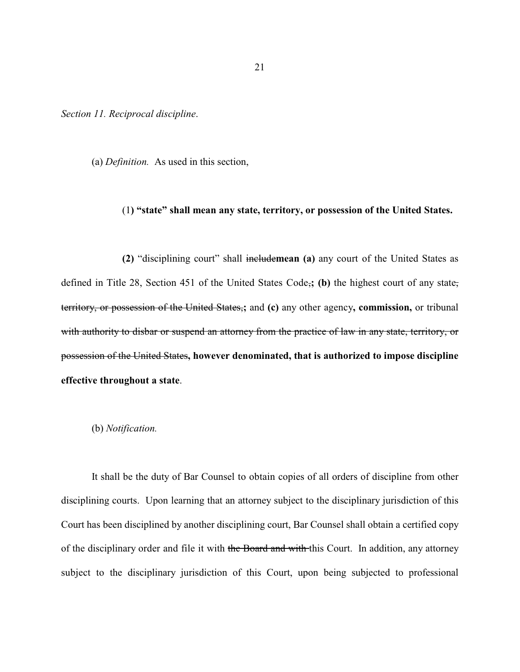*Section 11. Reciprocal discipline*.

(a) *Definition.* As used in this section,

### (1**) "state" shall mean any state, territory, or possession of the United States.**

**(2)** "disciplining court" shall include**mean (a)** any court of the United States as defined in Title 28, Section 451 of the United States Code,**; (b)** the highest court of any state, territory, or possession of the United States,**;** and **(c)** any other agency**, commission,** or tribunal with authority to disbar or suspend an attorney from the practice of law in any state, territory, or possession of the United States**, however denominated, that is authorized to impose discipline effective throughout a state**.

#### (b) *Notification.*

It shall be the duty of Bar Counsel to obtain copies of all orders of discipline from other disciplining courts. Upon learning that an attorney subject to the disciplinary jurisdiction of this Court has been disciplined by another disciplining court, Bar Counsel shall obtain a certified copy of the disciplinary order and file it with the Board and with this Court. In addition, any attorney subject to the disciplinary jurisdiction of this Court, upon being subjected to professional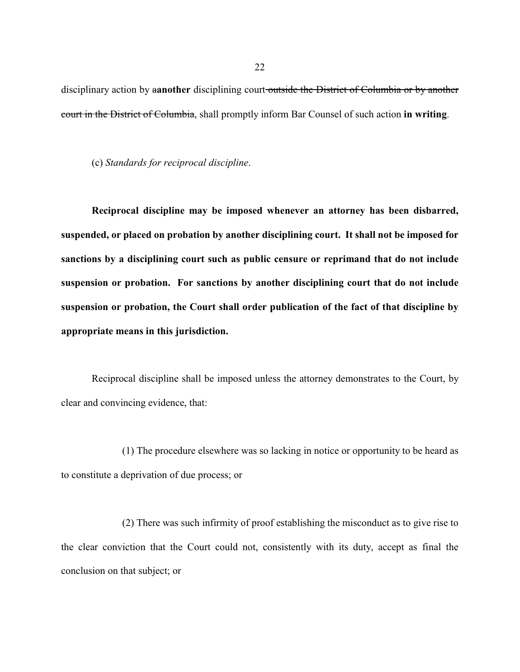disciplinary action by a**another** disciplining court outside the District of Columbia or by another court in the District of Columbia, shall promptly inform Bar Counsel of such action **in writing**.

(c) *Standards for reciprocal discipline*.

**Reciprocal discipline may be imposed whenever an attorney has been disbarred, suspended, or placed on probation by another disciplining court. It shall not be imposed for sanctions by a disciplining court such as public censure or reprimand that do not include suspension or probation. For sanctions by another disciplining court that do not include suspension or probation, the Court shall order publication of the fact of that discipline by appropriate means in this jurisdiction.**

Reciprocal discipline shall be imposed unless the attorney demonstrates to the Court, by clear and convincing evidence, that:

(1) The procedure elsewhere was so lacking in notice or opportunity to be heard as to constitute a deprivation of due process; or

(2) There was such infirmity of proof establishing the misconduct as to give rise to the clear conviction that the Court could not, consistently with its duty, accept as final the conclusion on that subject; or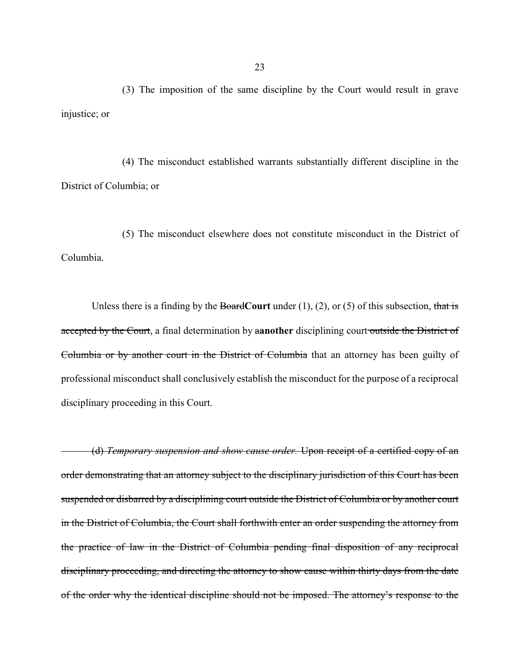(3) The imposition of the same discipline by the Court would result in grave injustice; or

(4) The misconduct established warrants substantially different discipline in the District of Columbia; or

(5) The misconduct elsewhere does not constitute misconduct in the District of Columbia.

Unless there is a finding by the Board**Court** under (1), (2), or (5) of this subsection, that is accepted by the Court, a final determination by a**another** disciplining court outside the District of Columbia or by another court in the District of Columbia that an attorney has been guilty of professional misconduct shall conclusively establish the misconduct for the purpose of a reciprocal disciplinary proceeding in this Court.

(d) *Temporary suspension and show cause order.* Upon receipt of a certified copy of an order demonstrating that an attorney subject to the disciplinary jurisdiction of this Court has been suspended or disbarred by a disciplining court outside the District of Columbia or by another court in the District of Columbia, the Court shall forthwith enter an order suspending the attorney from the practice of law in the District of Columbia pending final disposition of any reciprocal disciplinary proceeding, and directing the attorney to show cause within thirty days from the date of the order why the identical discipline should not be imposed. The attorney's response to the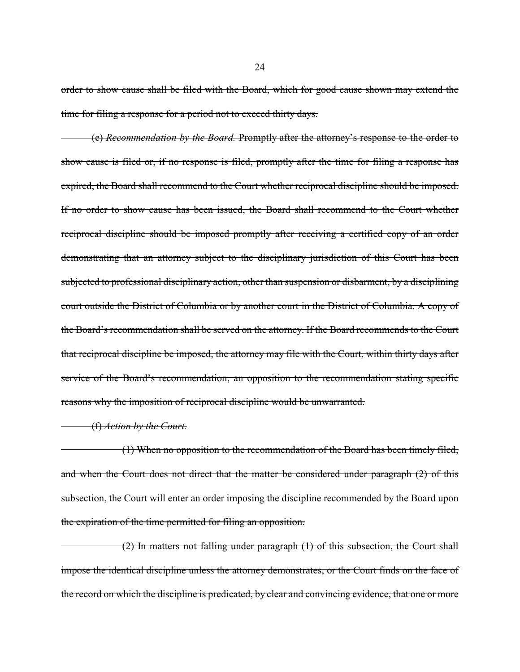order to show cause shall be filed with the Board, which for good cause shown may extend the time for filing a response for a period not to exceed thirty days.

(e) *Recommendation by the Board.* Promptly after the attorney's response to the order to show cause is filed or, if no response is filed, promptly after the time for filing a response has expired, the Board shall recommend to the Court whether reciprocal discipline should be imposed. If no order to show cause has been issued, the Board shall recommend to the Court whether reciprocal discipline should be imposed promptly after receiving a certified copy of an order demonstrating that an attorney subject to the disciplinary jurisdiction of this Court has been subjected to professional disciplinary action, other than suspension or disbarment, by a disciplining court outside the District of Columbia or by another court in the District of Columbia. A copy of the Board's recommendation shall be served on the attorney. If the Board recommends to the Court that reciprocal discipline be imposed, the attorney may file with the Court, within thirty days after service of the Board's recommendation, an opposition to the recommendation stating specific reasons why the imposition of reciprocal discipline would be unwarranted.

### (f) *Action by the Court.*

(1) When no opposition to the recommendation of the Board has been timely filed, and when the Court does not direct that the matter be considered under paragraph (2) of this subsection, the Court will enter an order imposing the discipline recommended by the Board upon the expiration of the time permitted for filing an opposition.

(2) In matters not falling under paragraph (1) of this subsection, the Court shall impose the identical discipline unless the attorney demonstrates, or the Court finds on the face of the record on which the discipline is predicated, by clear and convincing evidence, that one or more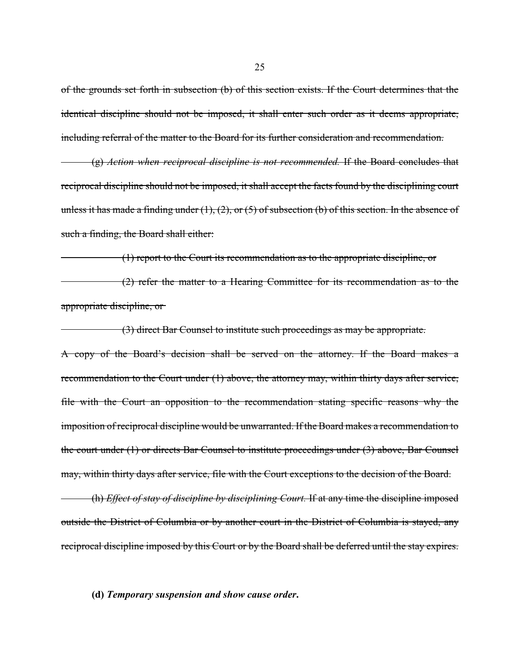of the grounds set forth in subsection (b) of this section exists. If the Court determines that the identical discipline should not be imposed, it shall enter such order as it deems appropriate, including referral of the matter to the Board for its further consideration and recommendation.

(g) *Action when reciprocal discipline is not recommended.* If the Board concludes that reciprocal discipline should not be imposed, it shall accept the facts found by the disciplining court unless it has made a finding under  $(1)$ ,  $(2)$ , or  $(5)$  of subsection  $(b)$  of this section. In the absence of such a finding, the Board shall either:

(1) report to the Court its recommendation as to the appropriate discipline, or

(2) refer the matter to a Hearing Committee for its recommendation as to the appropriate discipline, or

(3) direct Bar Counsel to institute such proceedings as may be appropriate. A copy of the Board's decision shall be served on the attorney. If the Board makes a recommendation to the Court under (1) above, the attorney may, within thirty days after service, file with the Court an opposition to the recommendation stating specific reasons why the imposition of reciprocal discipline would be unwarranted. If the Board makes a recommendation to the court under (1) or directs Bar Counsel to institute proceedings under (3) above, Bar Counsel may, within thirty days after service, file with the Court exceptions to the decision of the Board.

(h) *Effect of stay of discipline by disciplining Court.* If at any time the discipline imposed outside the District of Columbia or by another court in the District of Columbia is stayed, any reciprocal discipline imposed by this Court or by the Board shall be deferred until the stay expires.

### **(d)** *Temporary suspension and show cause order***.**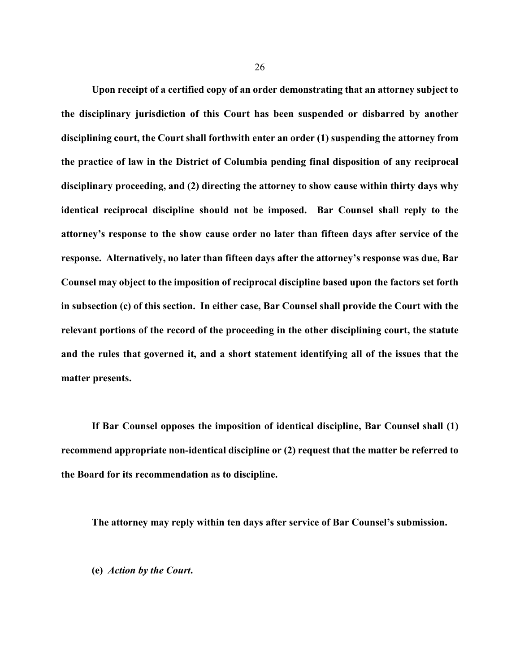**Upon receipt of a certified copy of an order demonstrating that an attorney subject to the disciplinary jurisdiction of this Court has been suspended or disbarred by another disciplining court, the Court shall forthwith enter an order (1) suspending the attorney from the practice of law in the District of Columbia pending final disposition of any reciprocal disciplinary proceeding, and (2) directing the attorney to show cause within thirty days why identical reciprocal discipline should not be imposed. Bar Counsel shall reply to the attorney's response to the show cause order no later than fifteen days after service of the response. Alternatively, no later than fifteen days after the attorney's response was due, Bar Counsel may object to the imposition of reciprocal discipline based upon the factors set forth in subsection (c) of this section. In either case, Bar Counsel shall provide the Court with the relevant portions of the record of the proceeding in the other disciplining court, the statute and the rules that governed it, and a short statement identifying all of the issues that the matter presents.**

**If Bar Counsel opposes the imposition of identical discipline, Bar Counsel shall (1) recommend appropriate non-identical discipline or (2) request that the matter be referred to the Board for its recommendation as to discipline.**

**The attorney may reply within ten days after service of Bar Counsel's submission.**

**(e)** *Action by the Court***.**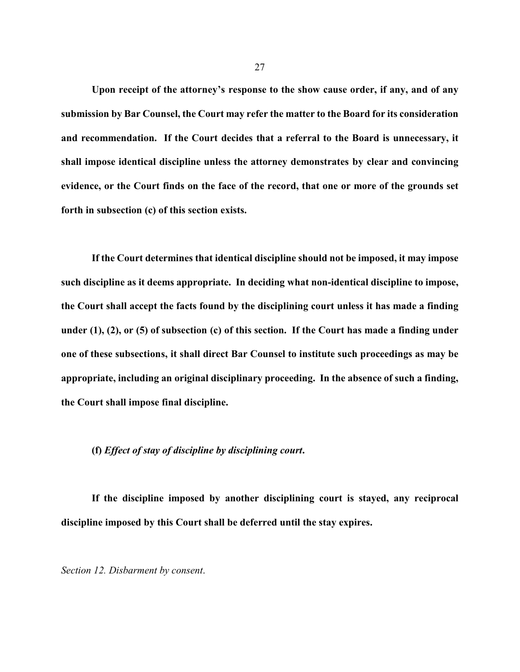**Upon receipt of the attorney's response to the show cause order, if any, and of any submission by Bar Counsel, the Court may refer the matter to the Board for its consideration and recommendation. If the Court decides that a referral to the Board is unnecessary, it shall impose identical discipline unless the attorney demonstrates by clear and convincing evidence, or the Court finds on the face of the record, that one or more of the grounds set forth in subsection (c) of this section exists.** 

**If the Court determines that identical discipline should not be imposed, it may impose such discipline as it deems appropriate. In deciding what non-identical discipline to impose, the Court shall accept the facts found by the disciplining court unless it has made a finding under (1), (2), or (5) of subsection (c) of this section. If the Court has made a finding under one of these subsections, it shall direct Bar Counsel to institute such proceedings as may be appropriate, including an original disciplinary proceeding. In the absence of such a finding, the Court shall impose final discipline.** 

### **(f)** *Effect of stay of discipline by disciplining court***.**

**If the discipline imposed by another disciplining court is stayed, any reciprocal discipline imposed by this Court shall be deferred until the stay expires.**

*Section 12. Disbarment by consent*.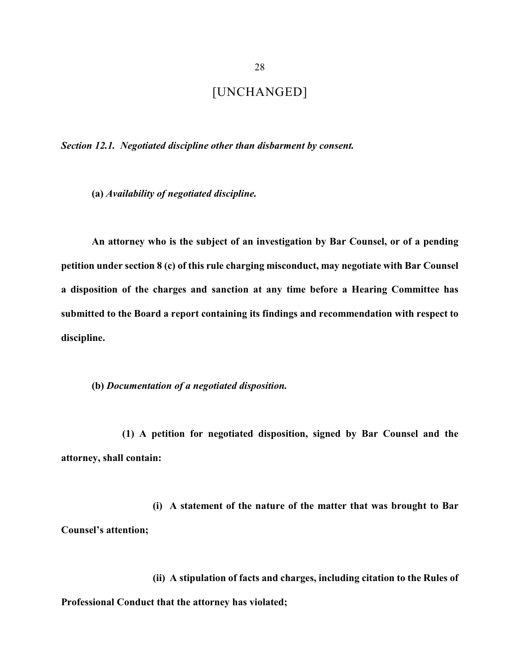# [UNCHANGED]

*Section 12.1. Negotiated discipline other than disbarment by consent.*

**(a)** *Availability of negotiated discipline.*

**An attorney who is the subject of an investigation by Bar Counsel, or of a pending petition under section 8 (c) of this rule charging misconduct, may negotiate with Bar Counsel a disposition of the charges and sanction at any time before a Hearing Committee has submitted to the Board a report containing its findings and recommendation with respect to discipline.**

**(b)** *Documentation of a negotiated disposition.* 

**(1) A petition for negotiated disposition, signed by Bar Counsel and the attorney, shall contain:**

**(i) A statement of the nature of the matter that was brought to Bar Counsel's attention;**

**(ii) A stipulation of facts and charges, including citation to the Rules of Professional Conduct that the attorney has violated;**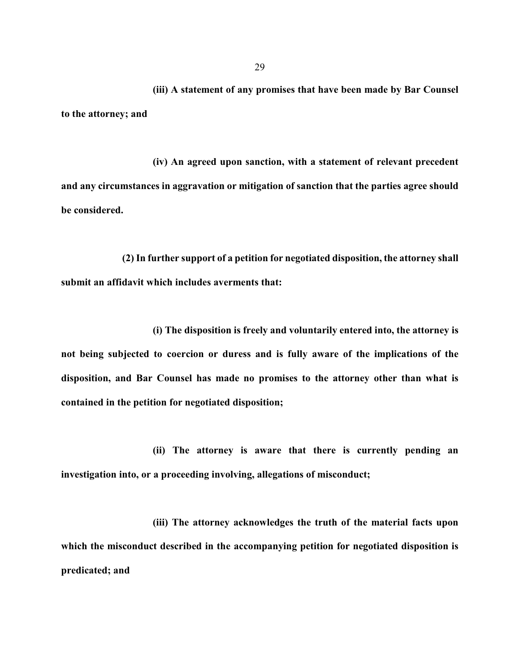**(iii) A statement of any promises that have been made by Bar Counsel to the attorney; and**

**(iv) An agreed upon sanction, with a statement of relevant precedent and any circumstances in aggravation or mitigation of sanction that the parties agree should be considered.**

**(2) In further support of a petition for negotiated disposition, the attorney shall submit an affidavit which includes averments that:**

**(i) The disposition is freely and voluntarily entered into, the attorney is not being subjected to coercion or duress and is fully aware of the implications of the disposition, and Bar Counsel has made no promises to the attorney other than what is contained in the petition for negotiated disposition;**

**(ii) The attorney is aware that there is currently pending an investigation into, or a proceeding involving, allegations of misconduct;**

**(iii) The attorney acknowledges the truth of the material facts upon which the misconduct described in the accompanying petition for negotiated disposition is predicated; and**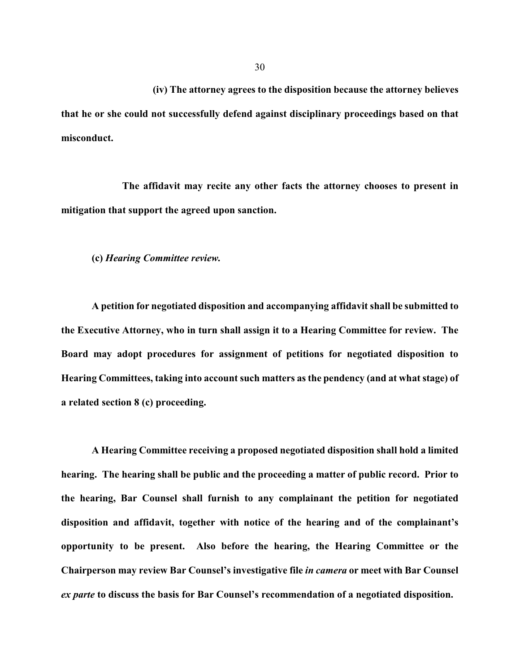**(iv) The attorney agrees to the disposition because the attorney believes that he or she could not successfully defend against disciplinary proceedings based on that misconduct.**

**The affidavit may recite any other facts the attorney chooses to present in mitigation that support the agreed upon sanction.**

**(c)** *Hearing Committee review.*

**A petition for negotiated disposition and accompanying affidavit shall be submitted to the Executive Attorney, who in turn shall assign it to a Hearing Committee for review. The Board may adopt procedures for assignment of petitions for negotiated disposition to Hearing Committees, taking into account such matters as the pendency (and at what stage) of a related section 8 (c) proceeding.**

**A Hearing Committee receiving a proposed negotiated disposition shall hold a limited hearing. The hearing shall be public and the proceeding a matter of public record. Prior to the hearing, Bar Counsel shall furnish to any complainant the petition for negotiated disposition and affidavit, together with notice of the hearing and of the complainant's opportunity to be present. Also before the hearing, the Hearing Committee or the Chairperson may review Bar Counsel's investigative file** *in camera* **or meet with Bar Counsel** *ex parte* **to discuss the basis for Bar Counsel's recommendation of a negotiated disposition.**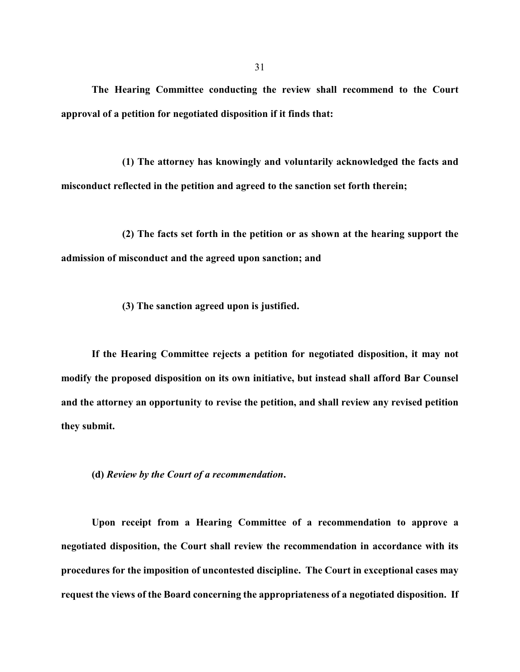**The Hearing Committee conducting the review shall recommend to the Court approval of a petition for negotiated disposition if it finds that:**

**(1) The attorney has knowingly and voluntarily acknowledged the facts and misconduct reflected in the petition and agreed to the sanction set forth therein;** 

**(2) The facts set forth in the petition or as shown at the hearing support the admission of misconduct and the agreed upon sanction; and**

**(3) The sanction agreed upon is justified.**

**If the Hearing Committee rejects a petition for negotiated disposition, it may not modify the proposed disposition on its own initiative, but instead shall afford Bar Counsel and the attorney an opportunity to revise the petition, and shall review any revised petition they submit.**

**(d)** *Review by the Court of a recommendation***.**

**Upon receipt from a Hearing Committee of a recommendation to approve a negotiated disposition, the Court shall review the recommendation in accordance with its procedures for the imposition of uncontested discipline. The Court in exceptional cases may request the views of the Board concerning the appropriateness of a negotiated disposition. If**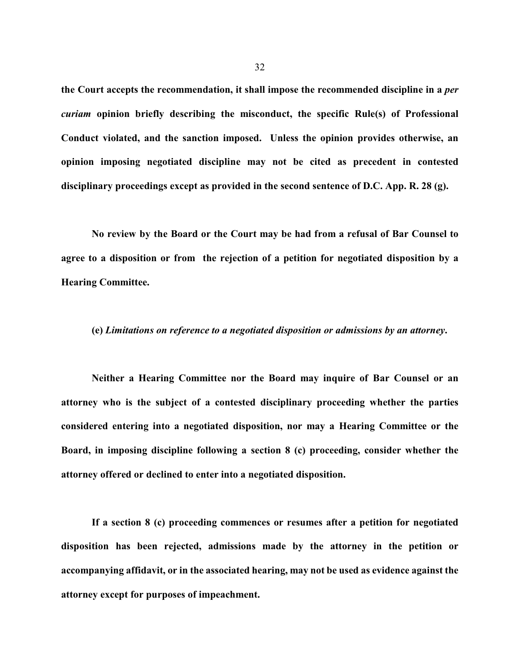**the Court accepts the recommendation, it shall impose the recommended discipline in a** *per curiam* **opinion briefly describing the misconduct, the specific Rule(s) of Professional Conduct violated, and the sanction imposed. Unless the opinion provides otherwise, an opinion imposing negotiated discipline may not be cited as precedent in contested disciplinary proceedings except as provided in the second sentence of D.C. App. R. 28 (g).**

**No review by the Board or the Court may be had from a refusal of Bar Counsel to agree to a disposition or from the rejection of a petition for negotiated disposition by a Hearing Committee.**

### **(e)** *Limitations on reference to a negotiated disposition or admissions by an attorney***.**

**Neither a Hearing Committee nor the Board may inquire of Bar Counsel or an attorney who is the subject of a contested disciplinary proceeding whether the parties considered entering into a negotiated disposition, nor may a Hearing Committee or the Board, in imposing discipline following a section 8 (c) proceeding, consider whether the attorney offered or declined to enter into a negotiated disposition.** 

**If a section 8 (c) proceeding commences or resumes after a petition for negotiated disposition has been rejected, admissions made by the attorney in the petition or accompanying affidavit, or in the associated hearing, may not be used as evidence against the attorney except for purposes of impeachment.**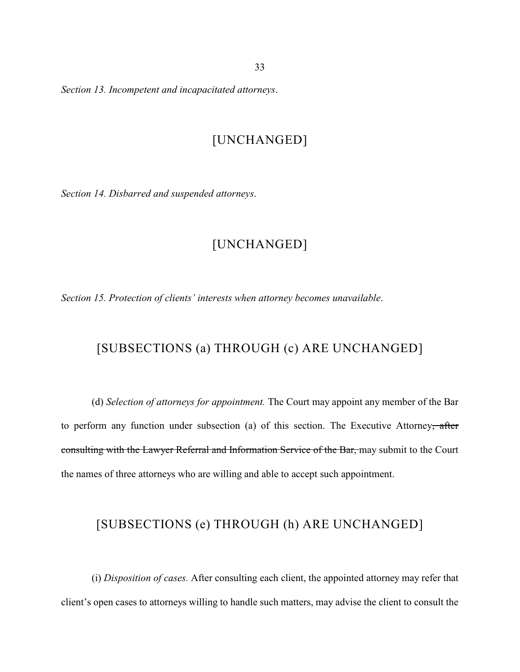*Section 13. Incompetent and incapacitated attorneys*.

## [UNCHANGED]

*Section 14. Disbarred and suspended attorneys*.

# [UNCHANGED]

*Section 15. Protection of clients' interests when attorney becomes unavailable*.

# [SUBSECTIONS (a) THROUGH (c) ARE UNCHANGED]

(d) *Selection of attorneys for appointment.* The Court may appoint any member of the Bar to perform any function under subsection (a) of this section. The Executive Attorney, after consulting with the Lawyer Referral and Information Service of the Bar, may submit to the Court the names of three attorneys who are willing and able to accept such appointment.

## [SUBSECTIONS (e) THROUGH (h) ARE UNCHANGED]

(i) *Disposition of cases.* After consulting each client, the appointed attorney may refer that client's open cases to attorneys willing to handle such matters, may advise the client to consult the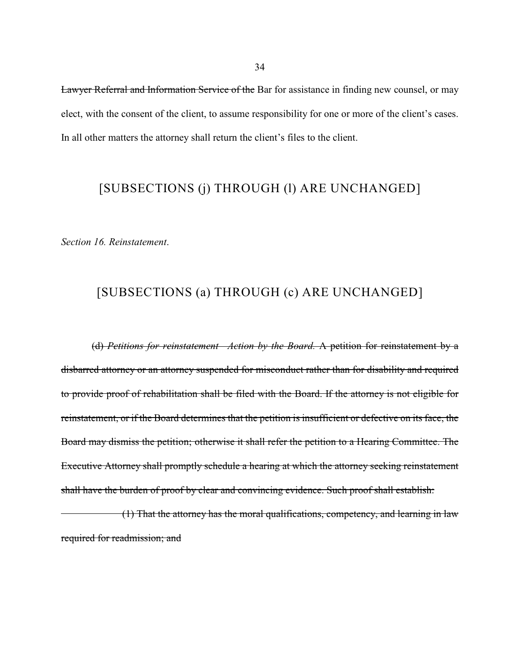Lawyer Referral and Information Service of the Bar for assistance in finding new counsel, or may elect, with the consent of the client, to assume responsibility for one or more of the client's cases. In all other matters the attorney shall return the client's files to the client.

# [SUBSECTIONS (j) THROUGH (l) ARE UNCHANGED]

*Section 16. Reinstatement*.

# [SUBSECTIONS (a) THROUGH (c) ARE UNCHANGED]

(d) *Petitions for reinstatement—Action by the Board.* A petition for reinstatement by a disbarred attorney or an attorney suspended for misconduct rather than for disability and required to provide proof of rehabilitation shall be filed with the Board. If the attorney is not eligible for reinstatement, or if the Board determines that the petition is insufficient or defective on its face, the Board may dismiss the petition; otherwise it shall refer the petition to a Hearing Committee. The Executive Attorney shall promptly schedule a hearing at which the attorney seeking reinstatement shall have the burden of proof by clear and convincing evidence. Such proof shall establish:

(1) That the attorney has the moral qualifications, competency, and learning in law required for readmission; and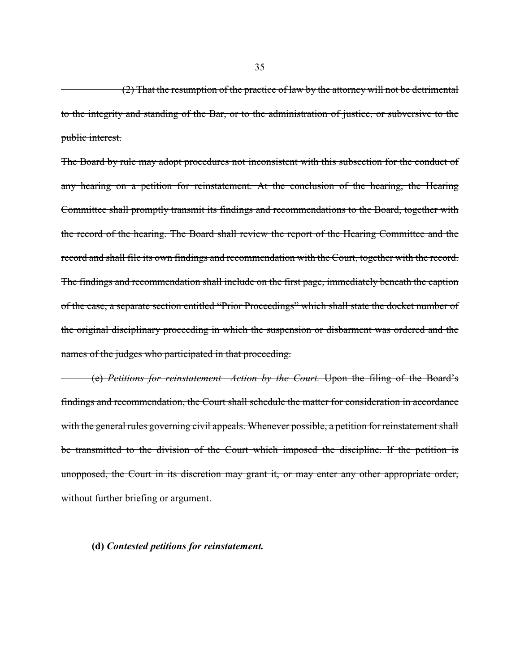(2) That the resumption of the practice of law by the attorney will not be detrimental to the integrity and standing of the Bar, or to the administration of justice, or subversive to the public interest.

The Board by rule may adopt procedures not inconsistent with this subsection for the conduct of any hearing on a petition for reinstatement. At the conclusion of the hearing, the Hearing Committee shall promptly transmit its findings and recommendations to the Board, together with the record of the hearing. The Board shall review the report of the Hearing Committee and the record and shall file its own findings and recommendation with the Court, together with the record. The findings and recommendation shall include on the first page, immediately beneath the caption of the case, a separate section entitled "Prior Proceedings" which shall state the docket number of the original disciplinary proceeding in which the suspension or disbarment was ordered and the names of the judges who participated in that proceeding.

(e) *Petitions for reinstatement—Action by the Court.* Upon the filing of the Board's findings and recommendation, the Court shall schedule the matter for consideration in accordance with the general rules governing civil appeals. Whenever possible, a petition for reinstatement shall be transmitted to the division of the Court which imposed the discipline. If the petition is unopposed, the Court in its discretion may grant it, or may enter any other appropriate order, without further briefing or argument.

### **(d)** *Contested petitions for reinstatement.*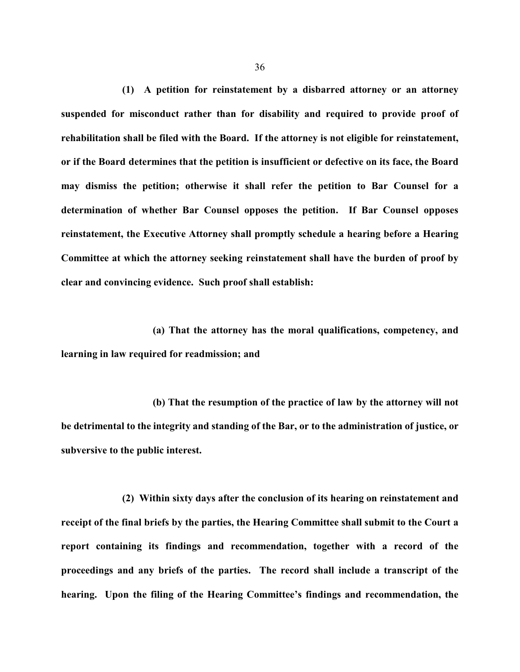**(1) A petition for reinstatement by a disbarred attorney or an attorney suspended for misconduct rather than for disability and required to provide proof of rehabilitation shall be filed with the Board. If the attorney is not eligible for reinstatement, or if the Board determines that the petition is insufficient or defective on its face, the Board may dismiss the petition; otherwise it shall refer the petition to Bar Counsel for a determination of whether Bar Counsel opposes the petition. If Bar Counsel opposes reinstatement, the Executive Attorney shall promptly schedule a hearing before a Hearing Committee at which the attorney seeking reinstatement shall have the burden of proof by clear and convincing evidence. Such proof shall establish:**

**(a) That the attorney has the moral qualifications, competency, and learning in law required for readmission; and**

**(b) That the resumption of the practice of law by the attorney will not be detrimental to the integrity and standing of the Bar, or to the administration of justice, or subversive to the public interest.**

**(2) Within sixty days after the conclusion of its hearing on reinstatement and receipt of the final briefs by the parties, the Hearing Committee shall submit to the Court a report containing its findings and recommendation, together with a record of the proceedings and any briefs of the parties. The record shall include a transcript of the hearing. Upon the filing of the Hearing Committee's findings and recommendation, the**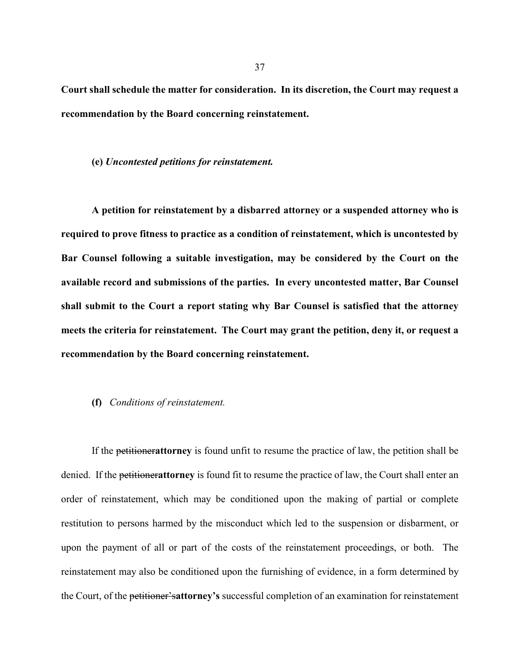**Court shall schedule the matter for consideration. In its discretion, the Court may request a recommendation by the Board concerning reinstatement.**

#### **(e)** *Uncontested petitions for reinstatement.*

**A petition for reinstatement by a disbarred attorney or a suspended attorney who is required to prove fitness to practice as a condition of reinstatement, which is uncontested by Bar Counsel following a suitable investigation, may be considered by the Court on the available record and submissions of the parties. In every uncontested matter, Bar Counsel shall submit to the Court a report stating why Bar Counsel is satisfied that the attorney meets the criteria for reinstatement. The Court may grant the petition, deny it, or request a recommendation by the Board concerning reinstatement.**

### **(f)** *Conditions of reinstatement.*

If the petitioner**attorney** is found unfit to resume the practice of law, the petition shall be denied. If the petitioner**attorney** is found fit to resume the practice of law, the Court shall enter an order of reinstatement, which may be conditioned upon the making of partial or complete restitution to persons harmed by the misconduct which led to the suspension or disbarment, or upon the payment of all or part of the costs of the reinstatement proceedings, or both. The reinstatement may also be conditioned upon the furnishing of evidence, in a form determined by the Court, of the petitioner's**attorney's** successful completion of an examination for reinstatement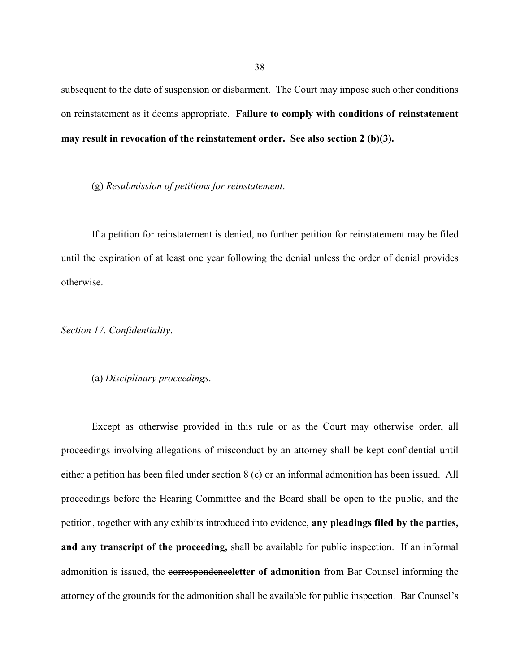subsequent to the date of suspension or disbarment. The Court may impose such other conditions on reinstatement as it deems appropriate. **Failure to comply with conditions of reinstatement may result in revocation of the reinstatement order. See also section 2 (b)(3).**

(g) *Resubmission of petitions for reinstatement*.

If a petition for reinstatement is denied, no further petition for reinstatement may be filed until the expiration of at least one year following the denial unless the order of denial provides otherwise.

*Section 17. Confidentiality*.

(a) *Disciplinary proceedings*.

Except as otherwise provided in this rule or as the Court may otherwise order, all proceedings involving allegations of misconduct by an attorney shall be kept confidential until either a petition has been filed under section 8 (c) or an informal admonition has been issued. All proceedings before the Hearing Committee and the Board shall be open to the public, and the petition, together with any exhibits introduced into evidence, **any pleadings filed by the parties, and any transcript of the proceeding,** shall be available for public inspection. If an informal admonition is issued, the correspondence**letter of admonition** from Bar Counsel informing the attorney of the grounds for the admonition shall be available for public inspection. Bar Counsel's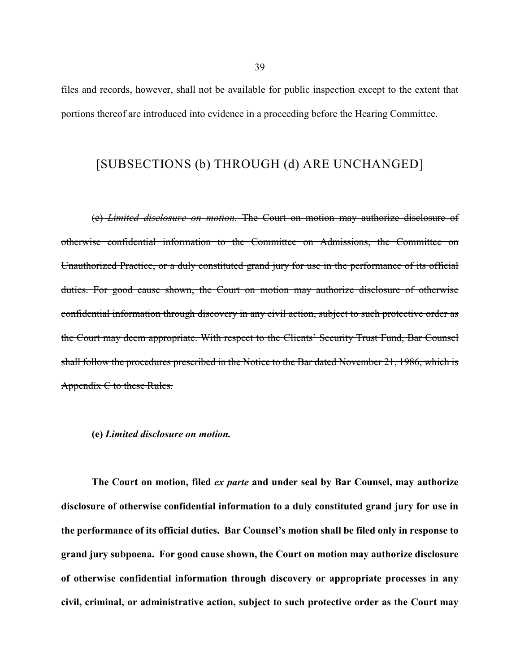files and records, however, shall not be available for public inspection except to the extent that portions thereof are introduced into evidence in a proceeding before the Hearing Committee.

### [SUBSECTIONS (b) THROUGH (d) ARE UNCHANGED]

(e) *Limited disclosure on motion.* The Court on motion may authorize disclosure of otherwise confidential information to the Committee on Admissions, the Committee on Unauthorized Practice, or a duly constituted grand jury for use in the performance of its official duties. For good cause shown, the Court on motion may authorize disclosure of otherwise confidential information through discovery in any civil action, subject to such protective order as the Court may deem appropriate. With respect to the Clients' Security Trust Fund, Bar Counsel shall follow the procedures prescribed in the Notice to the Bar dated November 21, 1986, which is Appendix C to these Rules.

### **(e)** *Limited disclosure on motion.*

**The Court on motion, filed** *ex parte* **and under seal by Bar Counsel, may authorize disclosure of otherwise confidential information to a duly constituted grand jury for use in the performance of its official duties. Bar Counsel's motion shall be filed only in response to grand jury subpoena. For good cause shown, the Court on motion may authorize disclosure of otherwise confidential information through discovery or appropriate processes in any civil, criminal, or administrative action, subject to such protective order as the Court may**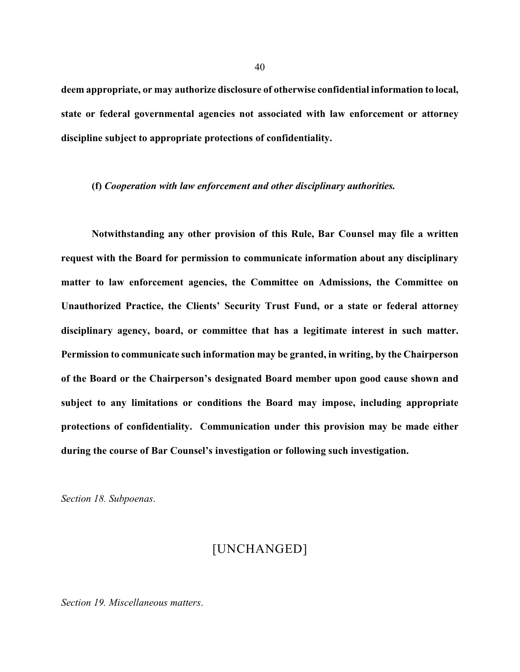**deem appropriate, or may authorize disclosure of otherwise confidential information to local, state or federal governmental agencies not associated with law enforcement or attorney discipline subject to appropriate protections of confidentiality.**

#### **(f)** *Cooperation with law enforcement and other disciplinary authorities.*

**Notwithstanding any other provision of this Rule, Bar Counsel may file a written request with the Board for permission to communicate information about any disciplinary matter to law enforcement agencies, the Committee on Admissions, the Committee on Unauthorized Practice, the Clients' Security Trust Fund, or a state or federal attorney disciplinary agency, board, or committee that has a legitimate interest in such matter. Permission to communicate such information may be granted, in writing, by the Chairperson of the Board or the Chairperson's designated Board member upon good cause shown and subject to any limitations or conditions the Board may impose, including appropriate protections of confidentiality. Communication under this provision may be made either during the course of Bar Counsel's investigation or following such investigation.**

*Section 18. Subpoenas*.

### [UNCHANGED]

*Section 19. Miscellaneous matters*.